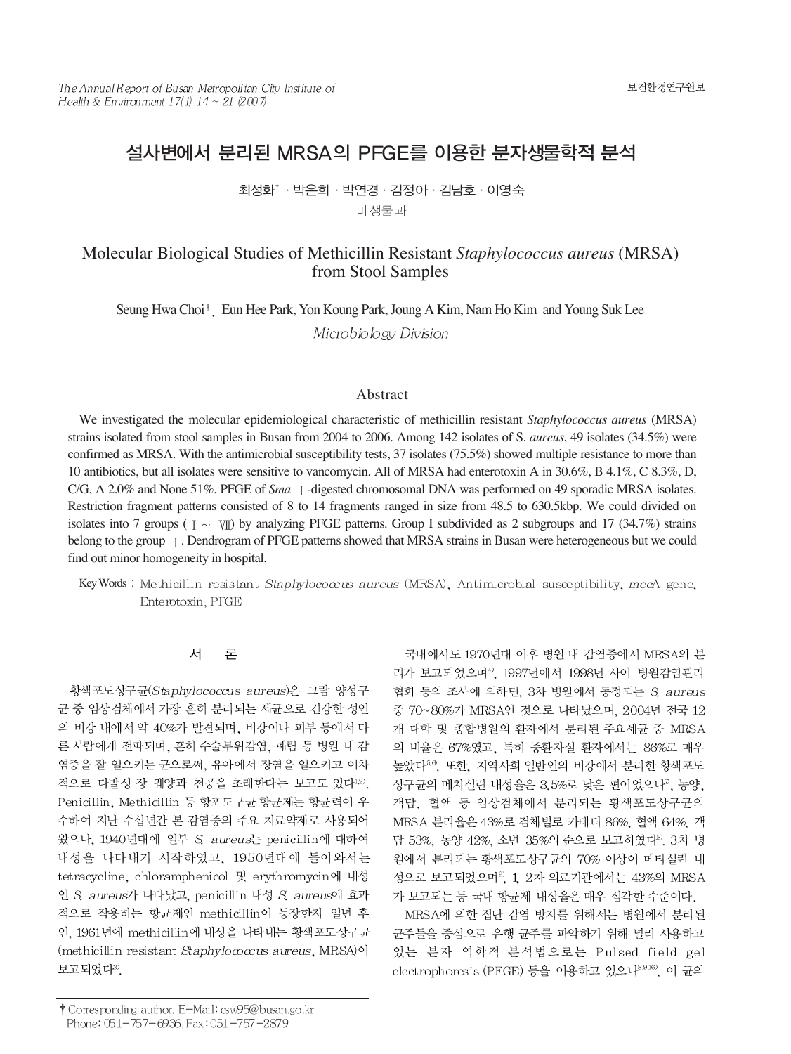# 설사변에서 분리된 MRSA의 PFGE를 이용한 분자생물학적 분석

최성화'· 박은희 · 박연경 · 김정아 · 김남호 · 이영숙 미생물과

## Molecular Biological Studies of Methicillin Resistant *Staphylococcus aureus* (MRSA) from Stool Samples

Seung Hwa Choi<sup>†</sup> Eun Hee Park, Yon Koung Park, Joung A Kim, Nam Ho Kim and Young Suk Lee Microbiology Division

### Abstract

We investigated the molecular epidemiological characteristic of methicillin resistant *Staphylococcus aureus* (MRSA) strains isolated from stool samples in Busan from 2004 to 2006. Among 142 isolates of S. *aureus*, 49 isolates (34.5%) were confirmed as MRSA. With the antimicrobial susceptibility tests, 37 isolates (75.5%) showed multiple resistance to more than 10 antibiotics, but all isolates were sensitive to vancomycin. All of MRSA had enterotoxin A in 30.6%, B 4.1%, C 8.3%, D, C/G, A 2.0% and None 51%. PFGE of *Sma* I -digested chromosomal DNA was performed on 49 sporadic MRSA isolates. Restriction fragment patterns consisted of 8 to 14 fragments ranged in size from 48.5 to 630.5kbp. We could divided on isolates into 7 groups ( $\tau \sim \pi$ ) by analyzing PFGE patterns. Group I subdivided as 2 subgroups and 17 (34.7%) strains belong to the group  $\lceil$ . Dendrogram of PFGE patterns showed that MRSA strains in Busan were heterogeneous but we could find out minor homogeneity in hospital.

Key Words : Methicillin resistant Staphylococcus aureus (MRSA), Antimicrobial susceptibility, mecA gene, Enterotoxin, PFGE

#### 서 론

황색포도상구균(Staphylococcus aureus)은 그람 양성구 균 중 임상검체에서 가장 흔히 분리되는 세균으로 건강한 성인 의 비강 내에서 약 40%가 발견되며, 비강이나 피부 등에서 다 른 사람에게 전파되며, 흔히 수술부위감염, 폐렴 등 병원 내 감 염증을 잘 일으키는 균으로써, 유아에서 장염을 일으키고 이차 적으로 다발성 장 궤양과 천공을 초래한다는 보고도 있다1,2). Penicillin, Methicillin 등 항포도구균 항균제는 항균력이 우 수하여 지난 수십년간 본 감염증의 주요 치료약제로 사용되어 왔으나, 1940년대에 일부 S. aureus는 penicillin에 대하여 내성을 나타내기 시작하였고, 1950년대에 들어와서는 tetracycline, chloramphenicol 및 erythromycin에 내성 인 S. aureus가 나타났고, penicillin 내성 S. aureus에 효과 적으로 작용하는 항균제인 methicillin이 등장한지 일년 후 인, 1961년에 methicillin에 내성을 나타내는 황색포도상구균 (methicillin resistant Staphylococcus aureus, MRSA)<sup>o</sup>] 보고되었다<sup>3)</sup>.

MRSA에 의한 집단 감염 방지를 위해서는 병원에서 분리된 균주들을 중심으로 유행 균주를 파악하기 위해 널리 사용하고 있는 분자 역학적 분석법으로는 Pulsed field gel electrophoresis (PFGE) 등을 이용하고 있으나<sup>8,9,16</sup>, 이 균의

국내에서도 1970년대 이후 병원 내 감염증에서 MRSA의 분 리가 보고되었으며4). 1997년에서 1998년 사이 병원감염관리 협회 등의 조사에 의하면, 3차 병원에서 동정되는 S. aureus 중 70~80%가 MRSA인 것으로 나타났으며, 2004년 전국 12 개 대학 및 종합병원의 환자에서 분리된 주요세균 중 MRSA 의 비율은 67%였고, 특히 중환자실 환자에서는 86%로 매우 높았다<sup>56</sup>. 또한, 지역사회 일반인의 비강에서 분리한 황색포도 상구균의 메치실린 내성율은 3.5%로 낮은 편이었으나", 농양, 객담, 혈액 등 임상검체에서 분리되는 황색포도상구균의 MRSA 분리율은 43%로 검체별로 카테터 86% 혈액 64%. 객 담 53%, 농양 42%, 소변 35%의 순으로 보고하였다<sup>8</sup>, 3차 병 원에서 분리되는 황색포도상구균의 70% 이상이 메티실린 내 성으로 보고되었으며<sup>9</sup> 1 2차 의료기관에서는 43%의 MRSA 가 보고되는 등 국내 항균제 내성율은 매우 심각한 수준이다.

<sup>†</sup> Corresponding author. E-Mail: csw95@busan.go.kr Phone: 051-757-6936, Fax: 051-757-2879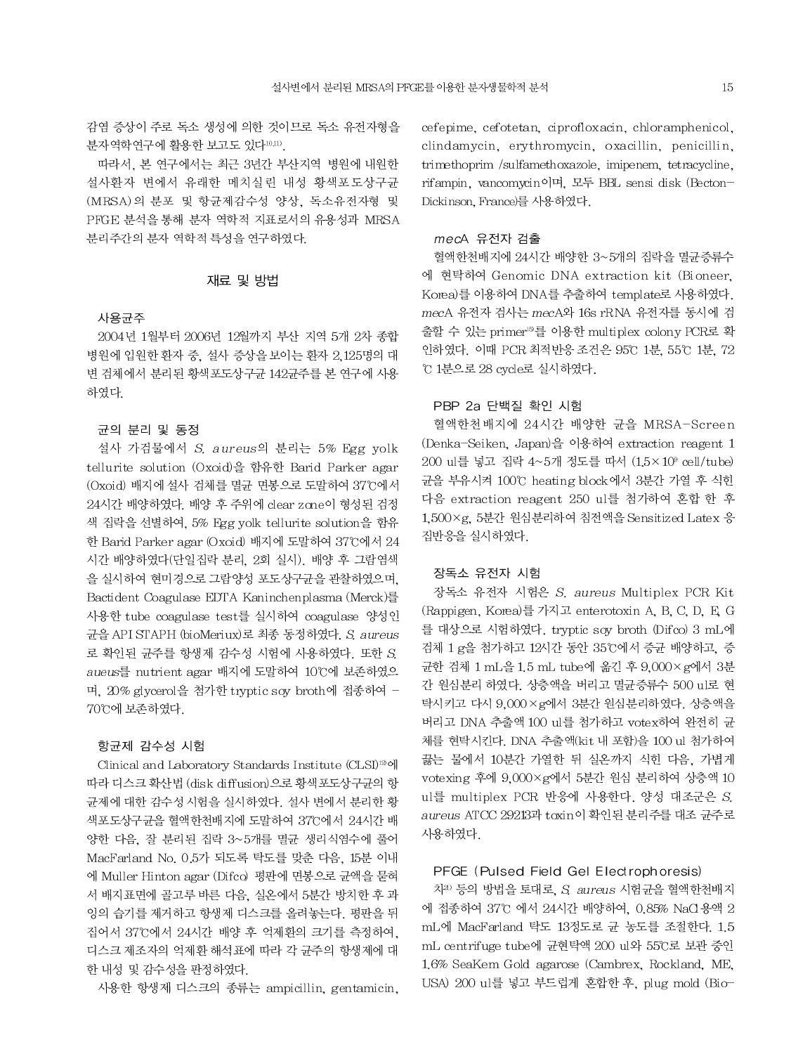감염 증상이 주로 독소 생성에 의한 것이므로 독소 유전자형을 분자역학연구에 활용한 보고도 있다10,11).

따라서, 본 연구에서는 최근 3년간 부산지역 병원에 내원한 설사환자 변에서 유래한 메치실린 내성 황색포도상구균 (MRSA)의 분포 및 항균제감수성 양상, 독소유전자형 및 PFGE 분석을 통해 분자 역학적 지표로서의 유용성과 MRSA 분리주간의 분자 역학적 특성을 연구하였다.

#### 재료 및 방법

#### 사용균주

2004년 1월부터 2006년 12월까지 부산 지역 5개 2차 종합 병원에 입원한 환자 중. 설사 증상을 보이는 환자 2.125명의 대 변 검체에서 분리된 황색포도상구균 142균주를 본 연구에 사용 하였다.

#### 균의 분리 및 동정

설사 가검물에서 S. aureus의 분리는 5% Egg yolk tellurite solution (Oxoid)을 함유한 Barid Parker agar (Oxoid) 배지에 설사 검체를 멸균 면봉으로 도말하여 37°C에서 24시간 배양하였다. 배양 후 주위에 clear zone이 형성된 검정 색 집락을 선별하여, 5% Egg yolk tellurite solution을 함유 한 Barid Parker agar (Oxoid) 배지에 도말하여 37°C에서 24 시간 배양하였다(단일집락 분리, 2회 실시). 배양 후 그람염색 을 실시하여 현미경으로 그람양성 포도상구균을 관찰하였으며, Bactident Coagulase EDTA Kaninchenplasma (Merck)를 사용한 tube coagulase test를 실시하여 coagulase 양성인 균을 API STAPH (bioMeriux)로 최종 동정하였다. S. aureus 로 확인된 균주를 항생제 감수성 시험에 사용하였다. 또한 S. aueus를 nutrient agar 배지에 도말하여 10℃에 보존하였으 며, 20% glycerol을 첨가한 tryptic soy broth에 접종하여 -70℃에 보존하였다.

#### 항균제 감수성 시험

Clinical and Laboratory Standards Institute (CLSI)<sup>12</sup>에 따라 디스크 확산법 (disk diffusion)으로 황색포도상구균의 항 균제에 대한 감수성 시험을 실시하였다. 설사 변에서 분리한 황 색포도상구균을 혈액한천배지에 도말하여 37°C에서 24시간 배 양한 다음, 잘 분리된 집락 3~5개를 멸균 생리식염수에 풀어 MacFarland No. 0.5가 되도록 탁도를 맞춘 다음, 15분 이내 에 Muller Hinton agar (Difco) 평판에 면봉으로 균액을 묻혀 서 배지표면에 골고루 바른 다음, 실온에서 5분간 방치한 후 과 잉의 습기를 제거하고 항생제 디스크를 올려놓는다. 평판을 뒤 집어서 37℃에서 24시간 배양 후 억제환의 크기를 측정하여. 디스크 제조자의 억제환 해석표에 따라 각 균주의 항생제에 대 한 내성 및 감수성을 판정하였다.

사용한 항생제 디스크의 종류는 ampicillin, gentamicin,

cefepime, cefotetan, ciprofloxacin, chloramphenicol, clindamycin, erythromycin, oxacillin, penicillin, trimethoprim /sulfamethoxazole, imipenem, tetracycline, rifampin, vancomycin이며, 모두 BBL sensi disk (Becton-Dickinson, France)를 사용하였다.

#### mecA 유전자 검출

혈액한천배지에 24시간 배양한 3~5개의 집락을 멸균증류수 에 현탁하여 Genomic DNA extraction kit (Bioneer, Korea)를 이용하여 DNA를 추출하여 template로 사용하였다. mecA 유전자 검사는 mecA와 16s rRNA 유전자를 동시에 검 출할 수 있는 primer<sup>15</sup>를 이용한 multiplex colony PCR로 확 인하였다. 이때 PCR 최적반응 조건은 95℃ 1분, 55℃ 1분, 72 ℃ 1분으로 28 cycle로 실시하였다.

### PBP 2a 단백질 확인 시험

혈액한천배지에 24시간 배양한 균을 MRSA-Screen (Denka-Seiken, Japan)을 이용하여 extraction reagent 1 200 ul를 넣고 집락 4~5개 정도를 따서 (1,5×10° cell/tube) 균을 부유시켜 100℃ heating block에서 3분간 가열 후 식힌 다음 extraction reagent 250 ul를 첨가하여 혼합 한 후 1,500×g, 5분간 원심분리하여 침전액을 Sensitized Latex 응 집반응을 실시하였다.

### 장독소 유전자 시험

장독소 유전자 시험은 S. aureus Multiplex PCR Kit (Rappigen, Korea)를 가지고 enterotoxin A, B, C, D, E, G 를 대상으로 시험하였다. tryptic soy broth (Difco) 3 mL에 검체 1 g을 첨가하고 12시간 동안 35℃에서 증균 배양하고, 증 균한 검체 1 mL을 1.5 mL tube에 옮긴 후 9,000×g에서 3분 간 원심분리 하였다. 상층액을 버리고 멸균증류수 500 ul로 현 탁시키고 다시 9,000 × g에서 3분간 원심분리하였다. 상층액을 버리고 DNA 추출액 100 ul를 첨가하고 votex하여 완전히 균 체를 현탁시킨다. DNA 추출액(kit 내 포함)을 100 ul 첨가하여 끓는 물에서 10분간 가열한 뒤 실온까지 식힌 다음, 가볍게 votexing 후에 9,000×g에서 5분간 원심 분리하여 상층액 10 ul를 multiplex PCR 반응에 사용한다. 양성 대조군은 S. aureus ATCC 29213과 toxin이 확인된 분리주를 대조 균주로 사용하였다.

#### PFGE (Pulsed Field Gel Electrophoresis)

치20 등의 방법을 토대로, S. aureus 시험균을 혈액한천배지 에 접종하여 37°C 에서 24시간 배양하여, 0.85% NaCl 용액 2 mL에 MacFarland 탁도 13정도로 균 농도를 조절한다. 1.5 mL centrifuge tube에 균현탁액 200 ul와 55℃로 보관 중인 1.6% SeaKem Gold agarose (Cambrex, Rockland, ME, USA) 200 ul를 넣고 부드럽게 혼합한 후, plug mold (Bio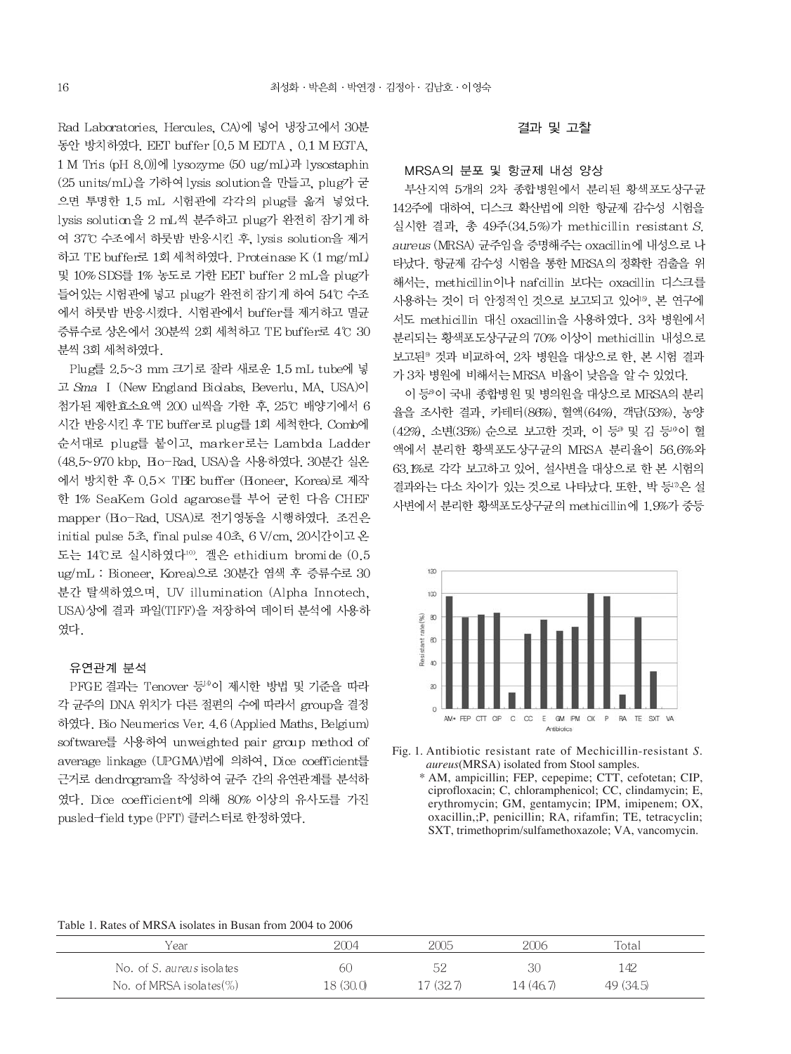Rad Laboratories, Hercules, CA)에 넣어 냉장고에서 30분 동안 방치하였다. EET buffer [0.5 M EDTA, 0.1 M EGTA, 1 M Tris (pH 8.0)]에 lysozyme (50 ug/mL)과 lysostaphin (25 units/mL)을 가하여 lysis solution을 만들고, plug가 굳 으면 투명한 1.5 mL 시험관에 각각의 plug를 옮겨 넣었다. lysis solution을 2 mL씩 분주하고 plug가 완전히 잠기게 하 여 37°C 수조에서 하룻밤 반응시킨 후, lysis solution을 제거 하고 TE buffer로 1회 세척하였다. Proteinase K (1 mg/mL) 및 10% SDS를 1% 농도로 가한 EET buffer 2 mL을 plug가 들어있는 시험관에 넣고 plug가 완전히 잠기게 하여 54℃ 수조 에서 하룻밤 반응시켰다. 시험관에서 buffer를 제거하고 멸균 증류수로 상온에서 30분씩 2회 세척하고 TE buffer로 4°C 30 분씩 3회 세척하였다.

Plug를 2.5~3 mm 크기로 잘라 새로운 1.5 mL tube에 넣 고 Sma I (New England Biolabs, Beverlu, MA, USA)이 첨가된 제한효소요액 200 ul씩을 가한 후, 25℃ 배양기에서 6 시간 반응시킨 후 TE buffer로 plug를 1회 세척한다. Comb에 순서대로 plug를 붙이고, marker로는 Lambda Ladder (48.5~970 kbp, Bo-Rad, USA)을 사용하였다. 30분간 실온 에서 방치한 후 0.5× TBE buffer (Bioneer, Korea)로 제작 한 1% SeaKem Gold agarose를 부어 굳힌 다음 CHEF mapper (Bio-Rad, USA)로 전기영동을 시행하였다. 조건은 initial pulse 5초, final pulse 40초, 6 V/cm, 20시간이고 온 도는 14℃로 실시하였다<sup>10</sup>. 겔은 ethidium bromide (0.5 ug/mL : Bioneer, Korea)으로 30분간 염색 후 증류수로 30 분간 탈색하였으며, UV illumination (Alpha Innotech, USA)상에 결과 파일(TIFF)을 저장하여 데이터 분석에 사용하 였다.

#### 유연관계 분석

PFGE 결과는 Tenover 등<sup>14</sup>이 제시한 방법 및 기준을 따라 각 균주의 DNA 위치가 다른 절편의 수에 따라서 group을 결정 하였다. Bio Neumerics Ver. 4.6 (Applied Maths, Belgium) software를 사용하여 unweighted pair group method of average linkage (UPGMA)법에 의하여, Dice coefficient를 근거로 dendrogram을 작성하여 균주 간의 유연관계를 분석하 였다. Dice coefficient에 의해 80% 이상의 유사도를 가진 pusled-field type (PFT) 클러스터로 한정하였다.

#### 결과 및 고찰

### MRSA의 분포 및 항균제 내성 양상

부산지역 5개의 2차 종합병원에서 분리된 황색포도상구균 142주에 대하여, 디스크 확산법에 의한 항균제 감수성 시험을 실시한 결과, 총 49주(34.5%)가 methicillin resistant S. aureus (MRSA) 균주임을 증명해주는 oxacillin에 내성으로 나 타났다. 항균제 감수성 시험을 통한 MRSA의 정확한 검출을 위 해서는, methicillin이나 nafcillin 보다는 oxacillin 디스크를 사용하는 것이 더 안정적인 것으로 보고되고 있어<sup>15</sup>. 본 연구에 서도 methicillin 대신 oxacillin을 사용하였다. 3차 병원에서 분리되는 황색포도상구균의 70% 이상이 methicillin 내성으로 보고된<sup>®</sup> 것과 비교하여, 2차 병원을 대상으로 한, 본 시험 결과 가 3차 병원에 비해서는 MRSA 비율이 낮음을 알 수 있었다.

이 등 이 국내 종합병원 및 병의원을 대상으로 MRSA의 분리 율을 조사한 결과, 카테터 (86%), 혈액 (64%), 객담 (53%), 농양 (42%), 소변(35%) 순으로 보고한 것과, 이 등<sup>9</sup> 및 김 등<sup>16</sup>이 혈 액에서 분리한 황색포도상구규의 MRSA 분리율이 56.6%와 63.1%로 각각 보고하고 있어, 설사변을 대상으로 한 본 시험의 결과와는 다소 차이가 있는 것으로 나타났다. 또한, 박 등"은 설 사변에서 분리한 황색포도상구균의 methicillin에 1.9%가 중등



Fig. 1. Antibiotic resistant rate of Mechicillin-resistant S. *aureus*(MRSA) isolated from Stool samples.

\* AM, ampicillin; FEP, cepepime; CTT, cefotetan; CIP, ciprofloxacin; C, chloramphenicol; CC, clindamycin; E, erythromycin; GM, gentamycin; IPM, imipenem; OX, oxacillin,; P, penicillin; RA, rifamfin; TE, tetracyclin; SXT, trimethoprim/sulfamethoxazole; VA, vancomycin.

#### Table 1. Rates of MRSA isolates in Busan from 2004 to 2006

| Year                             | 2004      | 2005      |           | Total     |  |
|----------------------------------|-----------|-----------|-----------|-----------|--|
| No. of <i>S. aureus</i> isolates | 60        | 長り        |           | ' 42      |  |
| No. of MRSA isolates $(\%)$      | 18 (30.0) | 17 (32.7) | 14 (46.7) | 49 (34.5) |  |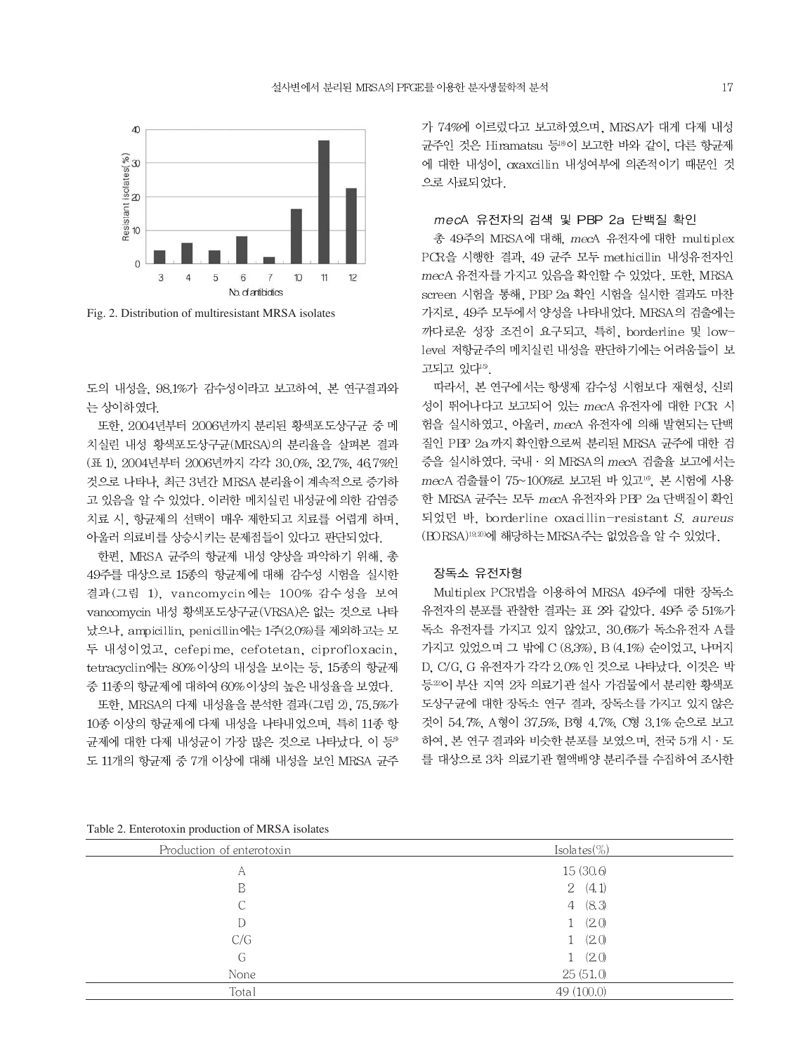

Fig. 2. Distribution of multiresistant MRSA isolates

도의 내성을 98.1%가 감수성이라고 보고하여, 본 연구결과와 는 상이하였다.

또한, 2004년부터 2006년까지 분리된 황색포도상구균 중 메 치실린 내성 황색포도상구균(MRSA)의 분리율을 살펴본 결과 (표 1) 2004년부터 2006년까지 각각 30.0%, 32.7%, 46.7%인 것으로 나타나, 최근 3년간 MRSA 분리율이 계속적으로 증가하 고 있음을 알 수 있었다. 이러한 메치실린 내성균에 의한 감염증 치료 시. 항균제의 선택이 매우 제한되고 치료를 어렵게 하며. 아울러 의료비를 상승시키는 문제점들이 있다고 판단되었다.

한편, MRSA 균주의 항균제 내성 양상을 파악하기 위해, 총 49주를 대상으로 15종의 항균제에 대해 감수성 시험을 실시한 결과(그림 1), vancomycin에는 100% 감수성을 보여 vancomycin 내성 황색포도상구균(VRSA)은 없는 것으로 나타 났으나, ampicillin, penicillin에는 1주(2.0%)를 제외하고는 모 두 내성이었고, cefepime, cefotetan, ciprofloxacin, tetracyclin에는 80% 이상의 내성을 보이는 등, 15종의 항균제 중 11종의 항균제에 대하여 60% 이상의 높은 내성율을 보였다.

또한, MRSA의 다제 내성율을 분석한 결과(그림 2), 75.5%가 10종 이상의 항균제에 다제 내성을 나타내었으며, 특히 11종 항 균제에 대한 다제 내성균이 가장 많은 것으로 나타났다. 이 등® 도 11개의 항균제 중 7개 이상에 대해 내성을 보인 MRSA 균주 가 74%에 이르렀다고 보고하였으며, MRSA가 대게 다제 내성 균주인 것은 Hiramatsu 등 이 보고한 바와 같이, 다른 항균제 에 대한 내성이, oxaxcillin 내성여부에 의존적이기 때문인 것 으로 사료되었다.

#### mecA 유전자의 검색 및 PBP 2a 단백질 확인

총 49주의 MRSA에 대해, mecA 유전자에 대한 multiplex PCR을 시행한 결과, 49 균주 모두 methicillin 내성유전자인 mecA 유전자를 가지고 있음을 확인할 수 있었다. 또한, MRSA screen 시험을 통해, PBP 2a 확인 시험을 실시한 결과도 마찬 가지로, 49주 모두에서 양성을 나타내었다. MRSA의 검출에는 까다로운 성장 조건이 요구되고, 특히, borderline 및 lowlevel 저항균주의 메치실린 내성을 판단하기에는 어려움들이 보 고되고 있다15.

따라서, 본 연구에서는 항생제 감수성 시험보다 재현성, 신뢰 성이 뛰어나다고 보고되어 있는 mecA 유전자에 대한 PCR 시 험을 실시하였고, 아울러, mecA 유전자에 의해 발현되는 단백 질인 PBP 2a 까지 확인함으로써 분리된 MRSA 균주에 대한 검 증을 실시하였다. 국내 · 외 MRSA의 mecA 검출율 보고에서는 mecA 검출률이 75~100%로 보고된 바 있고<sup>16</sup>. 본 시험에 사용 한 MRSA 균주는 모두 mecA 유전자와 PBP 2a 단백질이 확인 되었던 바, borderline oxacillin-resistant S. aureus (BORSA)<sup>19,20</sup>에 해당하는 MRSA 주는 없었음을 알 수 있었다.

#### 장독소 유전자형

Multiplex PCR법을 이용하여 MRSA 49주에 대한 장독소 유전자의 분포를 관찰한 결과는 표 2와 같았다. 49주 중 51%가 독소 유전자를 가지고 있지 않았고, 30.6%가 독소유전자 A를 가지고 있었으며 그 밖에 C (8.3%), B (4.1%) 순이었고, 나머지 D, C/G, G 유전자가 각각 2.0% 인 것으로 나타났다. 이것은 박 등20이 부산 지역 2차 의료기관 설사 가검물에서 분리한 황색포 도상구균에 대한 장독소 연구 결과, 장독소를 가지고 있지 않은 것이 54.7%. A형이 37.5%. B형 4.7%. C형 3.1% 순으로 보고 하여, 본 연구 결과와 비슷한 분포를 보였으며, 전국 5개 시 · 도 를 대상으로 3차 의료기관 혈액배양 분리주를 수집하여 조사한

Table 2. Enterotoxin production of MRSA isolates

| Production of enterotoxin | Isolates $(\%)$       |
|---------------------------|-----------------------|
| A                         | 15 (30.6)             |
| B                         | 2(4.1)                |
| С                         | 4 (8.3)               |
| D                         | (2.0)<br>$\mathbf{1}$ |
| C/G                       | 1(2.0)                |
| G                         | 1(2.0)                |
| None                      | 25 (51.0)             |
| Total                     | 49 (100.0)            |
|                           |                       |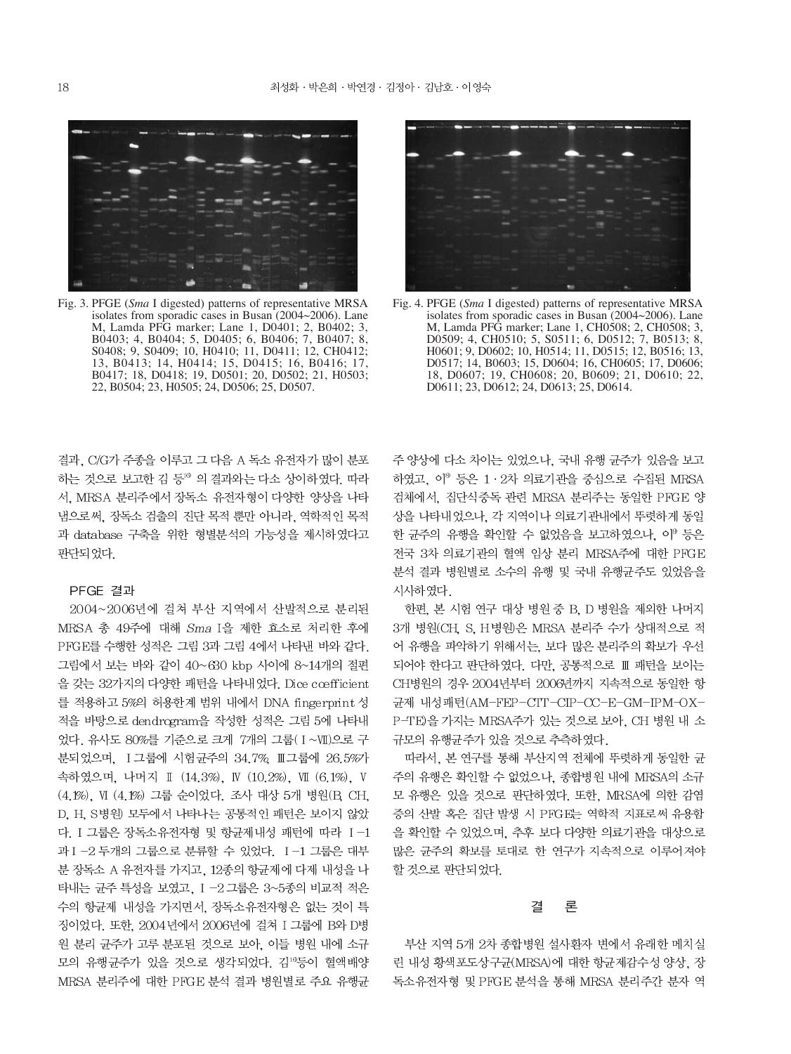Fig. 3. PFGE (Sma I digested) patterns of representative MRSA isolates from sporadic cases in Busan  $(2004~2006)$ . Lane M, Lamda PFG marker; Lane 1, D0401; 2, B0402; 3, B0403; 4, B0404; 5, D0405; 6, B0406; 7, B0407; 8, S0408; 9, S0409; 10, H0410; 11, D0411; 12, CH0412; 13, B0413; 14, H0414; 15, D0415; 16, B0416; 17, B0417; 18, D0418; 19, D0501; 20, D0502; 21, H0503; 22, B0504; 23, H0505; 24, D0506; 25, D0507.



Fig. 4. PFGE (Sma I digested) patterns of representative MRSA isolates from sporadic cases in Busan (2004~2006). Lane M, Lamda PFĜ marker; Lane 1, CH0508; 2, CH0508; 3, D0509; 4, CH0510; 5, S0511; 6, D0512; 7, B0513; 8, H0601; 9, D0602; 10, H0514; 11, D0515; 12, B0516; 13, D0517; 14, B0603; 15, D0604; 16, CH0605; 17, D0606; 18, D0607; 19, CH0608; 20, B0609; 21, D0610; 22, D0611; 23, D0612; 24, D0613; 25, D0614.

결과. C/G가 주종을 이루고 그 다음 A 독소 유전자가 많이 분포 하는 것으로 보고한 김 등 의결과와는 다소 상이하였다. 따라 서, MRSA 분리주에서 장독소 유전자형이 다양한 양상을 나타 냄으로써, 장독소 검출의 진단 목적 뿐만 아니라, 역학적인 목적 과 database 구축을 위한 형별분석의 가능성을 제시하였다고 판단되었다.

#### PFGE 결과

2004~2006년에 걸쳐 부산 지역에서 산발적으로 분리된 MRSA 총 49주에 대해 Sma I을 제한 효소로 처리한 후에 PFGE를 수행한 성적은 그림 3과 그림 4에서 나타낸 바와 같다. 그림에서 보는 바와 같이 40~630 kbp 사이에 8~14개의 절편 을 갖는 32가지의 다양한 패턴을 나타내었다. Dice cœfficient 를 적용하고 5%의 허용한계 범위 내에서 DNA fingerprint 성 적을 바탕으로 dendrogram을 작성한 성적은 그림 5에 나타내 었다. 유사도 80%를 기준으로 크게 7개의 그룹(I~VII)으로 구 분되었으며, Ⅰ 그룹에 시험균주의 34.7%, Ⅲ 그룹에 26.5%가 속하였으며, 나머지 Ⅱ (14.3%), Ⅳ (10.2%), Ⅶ (6.1%), Ⅴ (4.1%), VI (4.1%) 그룹 순이었다. 조사 대상 5개 병원(B, CH, D, H, S병원) 모두에서 나타나는 공통적인 패턴은 보이지 않았 다. I 그룹은 장독소유전자형 및 항균제내성 패턴에 따라 Ⅰ-1 과 I-2 두개의 그룹으로 분류할 수 있었다. I-1 그룹은 대부 분 장독소 A 유전자를 가지고, 12종의 항균제에 다제 내성을 나 타내는 균주 특성을 보였고, I -2 그룹은 3~5종의 비교적 적은 수의 항균제 내성을 가지면서, 장독소유전자형은 없는 것이 특 징이었다. 또한, 2004년에서 2006년에 걸쳐 I 그룹에 B와 D병 원 분리 균주가 고루 분포된 것으로 보아, 이들 병원 내에 소규 모의 유행균주가 있을 것으로 생각되었다. 김 등이 혈액배양 MRSA 분리주에 대한 PFGE 분석 결과 병원별로 주요 유행균

주 양상에 다소 차이는 있었으나, 국내 유행 균주가 있음을 보고 하였고, 이<sup>8</sup> 등은 1·2차 의료기관을 중심으로 수집된 MRSA 검체에서, 집단식중독 관련 MRSA 분리주는 동일한 PFGE 양 상을 나타내었으나. 각 지역이나 의료기관내에서 뚜렷하게 동일 한 균주의 유행을 확인할 수 없었음을 보고하였으나, 이 등은 전국 3차 의료기관의 혈액 임상 분리 MRSA주에 대한 PFGE 분석 결과 병원별로 소수의 유행 및 국내 유행균주도 있었음을 시사하였다.

한편, 본 시험 연구 대상 병원 중 B, D 병원을 제외한 나머지 3개 병원(CH, S, H병원)은 MRSA 분리주 수가 상대적으로 적 어 유행을 파악하기 위해서는, 보다 많은 분리주의 확보가 우선 되어야 한다고 판단하였다. 다만, 공통적으로 Ⅲ 패턴을 보이는 CH병원의 경우 2004년부터 2006년까지 지속적으로 동일한 항 균제 내성패턴(AM-FEP-CTT-CIP-CC-E-GM-IPM-OX-P-TE)을 가지는 MRSA주가 있는 것으로 보아, CH 병원 내 소 규모의 유행균주가 있을 것으로 추측하였다.

따라서, 본 연구를 통해 부산지역 전체에 뚜렷하게 동일한 균 주의 유행은 확인할 수 없었으나, 종합병원 내에 MRSA의 소규 모 유행은 있을 것으로 판단하였다. 또한, MRSA에 의한 감염 증의 산발 혹은 집단 발생 시 PFGE는 역학적 지표로써 유용함 을 확인할 수 있었으며, 추후 보다 다양한 의료기관을 대상으로 많은 균주의 확보를 토대로 한 연구가 지속적으로 이루어져야 할 것으로 판단되었다.

#### 결 론

부산 지역 5개 2차 종합병원 설사환자 변에서 유래한 메치실 린 내성 황색포도상구균(MRSA)에 대한 항균제감수성 양상, 장 독소유전자형 및 PFGE 분석을 통해 MRSA 분리주간 분자 역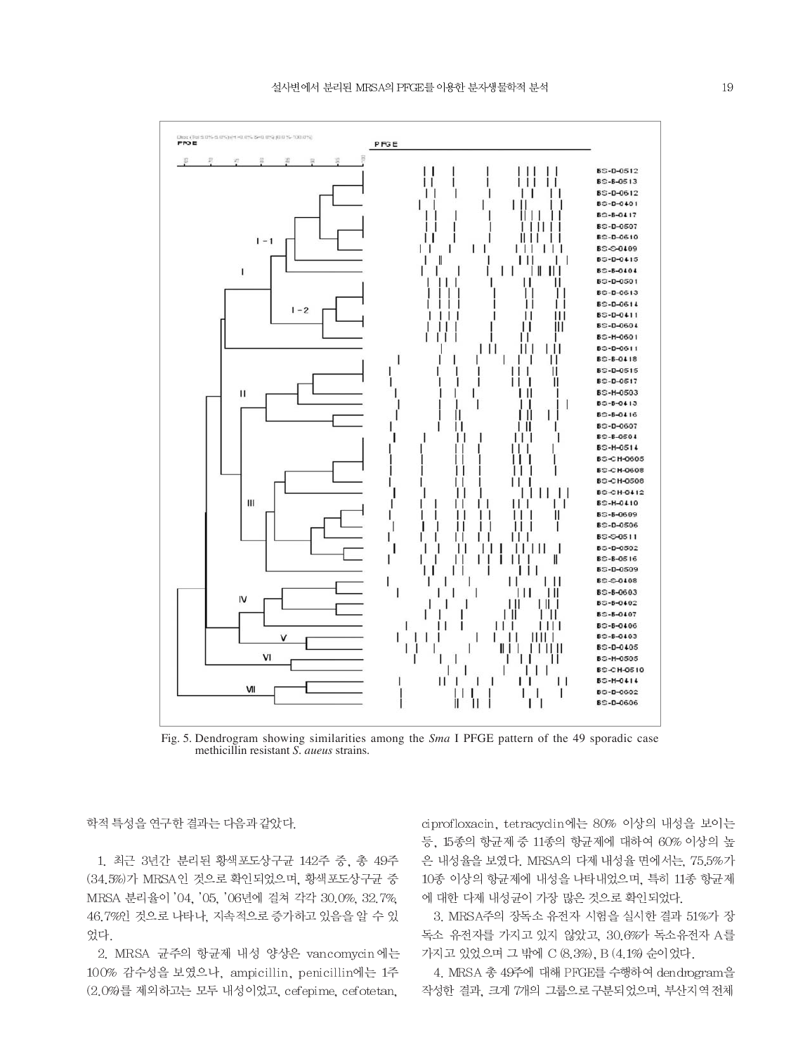

Fig. 5. Dendrogram showing similarities among the *Sma* I PFGE pattern of the 49 sporadic case methicillin resistant S. aueus strains.

학적 특성을 연구한 결과는 다음과 같았다.

1. 최근 3년간 분리된 황색포도상구균 142주 중, 총 49주 (34.5%)가 MRSA인 것으로 확인되었으며, 황색포도상구균 중 MRSA 분리율이 '04, '05, '06년에 걸쳐 각각 30.0%, 32.7%, 46.7%인 것으로 나타나, 지속적으로 증가하고 있음을 알 수 있 었다.

2. MRSA 균주의 항균제 내성 양상은 vancomycin에는 100% 감수성을 보였으나, ampicillin, penicillin에는 1주 (2.0%)를 제외하고는 모두 내성이었고, cefepime, cefotetan,

ciprofloxacin, tetracyclin에는 80% 이상의 내성을 보이는 등, 15종의 항균제 중 11종의 항균제에 대하여 60% 이상의 높 은 내성율을 보였다. MRSA의 다제 내성율 면에서는, 75.5%가 10종 이상의 항균제에 내성을 나타내었으며, 특히 11종 항균제 에 대한 다제 내성균이 가장 많은 것으로 확인되었다.

3. MRSA주의 장독소 유전자 시험을 실시한 결과 51%가 장 독소 유전자를 가지고 있지 않았고, 30.6%가 독소유전자 A를 가지고 있었으며 그 밖에 C (8.3%), B (4.1%) 순이었다.

4. MRSA 총 49주에 대해 PFGE를 수행하여 dendrogram을 작성한 결과, 크게 7개의 그룹으로 구분되었으며, 부산지역 전체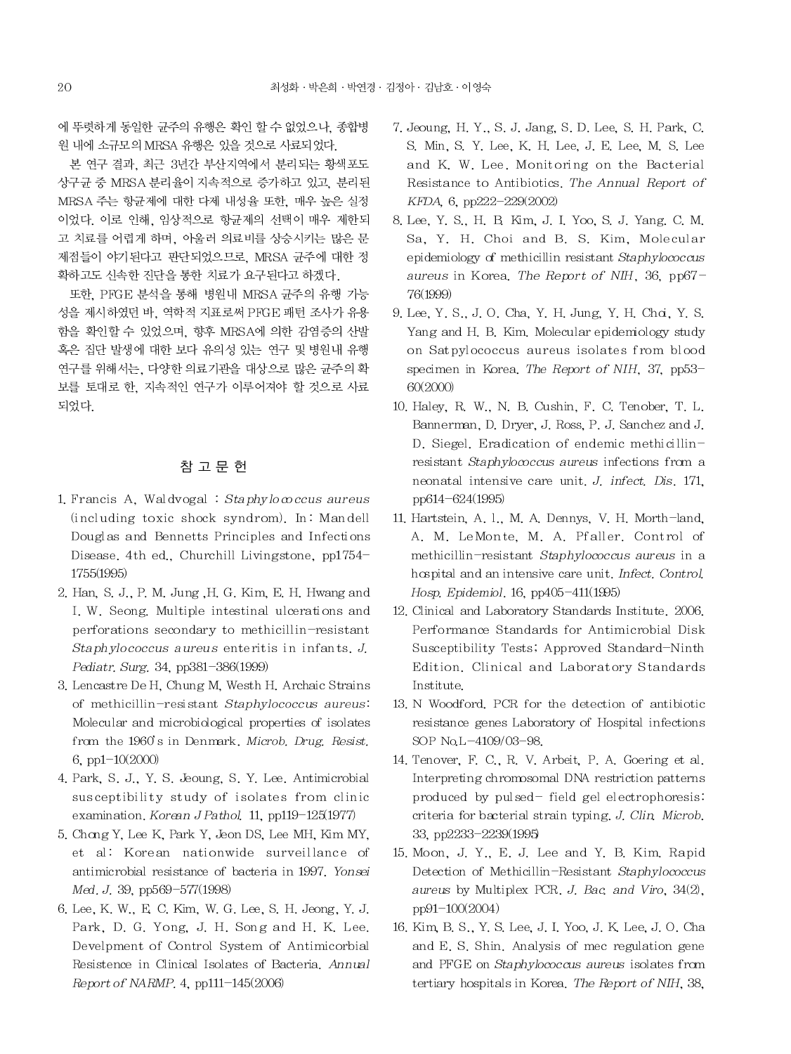에 뚜렷하게 동일한 균주의 유행은 확인 할 수 없었으나, 종합병 원 내에 소규모의 MRSA 유행은 있을 것으로 사료되었다.

본 연구 결과, 최근 3년간 부산지역에서 분리되는 황색포도 상구규 중 MRSA 분리율이 지속적으로 증가하고 있고, 분리된 MRSA 주는 항균제에 대한 다제 내성율 또한, 매우 높은 실정 이었다. 이로 인해. 임상적으로 항균제의 선택이 매우 제한되 고 치료를 어렵게 하며, 아울러 의료비를 상승시키는 많은 문 제점들이 야기된다고 판단되었으므로, MRSA 균주에 대한 정 확하고도 신속한 진단을 통한 치료가 요구된다고 하겠다.

또한, PFGE 분석을 통해 병원내 MRSA 균주의 유행 가능 성을 제시하였던 바, 역학적 지표로써 PFGE 패턴 조사가 유용 함을 확인할 수 있었으며, 향후 MRSA에 의한 감염증의 산발 혹은 집단 발생에 대한 보다 유의성 있는 연구 및 병원내 유행 연구를 위해서는, 다양한 의료기관을 대상으로 많은 균주의 확 보를 토대로 한. 지속적인 연구가 이루어져야 할 것으로 사료 되었다.

## 참 고 문 헌

- 1. Francis A. Waldvogal :  $Staphy$ lococcus aureus (including toxic shock syndrom). In: Mandell Douglas and Bennetts Principles and Infections Disease. 4th ed., Churchill Livingstone, pp1754-1755(1995)
- 2. Han, S. J., P. M. Jung, H. G. Kim, E. H. Hwang and I. W. Seong. Multiple intestinal ulcerations and perforations secondary to methicillin-resistant Staphylococcus aureus enteritis in infants. J. Pediatr. Surg. 34, pp381-386(1999)
- 3. Lencastre De H. Chung M. Westh H. Archaic Strains of methicillin-resistant Staphylococcus aureus: Molecular and microbiological properties of isolates from the 1960's in Denmark, Microb, Drug, Resist. 6, pp1 $-10(2000)$
- 4. Park, S. J., Y. S. Jeoung, S. Y. Lee. Antimicrobial susceptibility study of isolates from clinic examination. Korean J Pathol. 11, pp119-125(1977)
- 5. Chong Y, Lee K, Park Y, Jeon DS, Lee MH, Kim MY, et al: Korean nationwide surveillance of antimicrobial resistance of bacteria in 1997. Yonsei Med. J. 39, pp569-577(1998)
- 6. Lee, K. W., E. C. Kim, W. G. Lee, S. H. Jeong, Y. J. Park, D. G. Yong, J. H. Song and H. K. Lee. Develpment of Control System of Antimicorbial Resistence in Clinical Isolates of Bacteria, Annual Report of NARMP. 4, pp111-145(2006)
- 7. Jeoung, H. Y., S. J. Jang, S. D. Lee, S. H. Park, C. S. Min, S. Y. Lee, K. H. Lee, J. E. Lee, M. S. Lee and K. W. Lee. Monitoring on the Bacterial Resistance to Antibiotics. The Annual Report of KFDA, 6, pp222-229(2002)
- 8. Lee, Y. S., H. B. Kim, J. I. Yoo, S. J. Yang, C. M. Sa, Y. H. Choi and B. S. Kim. Molecular epidemiology of methicillin resistant Staphylococcus aureus in Korea. The Report of NIH, 36, pp67-76(1999)
- 9. Lee, Y. S., J. O. Cha, Y. H. Jung, Y. H. Cha, Y. S. Yang and H. B. Kim. Molecular epidemiology study on Satpylococcus aureus isolates from blood specimen in Korea. The Report of NIH, 37, pp53-60(2000)
- 10. Haley, R. W., N. B. Cushin, F. C. Tenober, T. L. Bannerman, D. Dryer, J. Ross, P. J. Sanchez and J. D. Siegel. Eradication of endemic methicillinresistant Staphylococcus aureus infections from a neonatal intensive care unit. J. infect. Dis. 171, pp614-624(1995)
- 11. Hartstein, A. l., M. A. Dennys, V. H. Morth-land, A. M. LeMonte, M. A. Pfaller. Control of methicillin-resistant Staphylococcus aureus in a hospital and an intensive care unit. Infect. Control. Hosp. Epidemiol. 16, pp405-411(1995)
- 12. Clinical and Laboratory Standards Institute, 2006. Performance Standards for Antimicrobial Disk Susceptibility Tests; Approved Standard-Ninth Edition. Clinical and Laboratory Standards Institute.
- 13. N Woodford. PCR for the detection of antibiotic resistance genes Laboratory of Hospital infections SOP No.L-4109/03-98.
- 14. Tenover, F. C., R. V. Arbeit, P. A. Goering et al. Interpreting chromosomal DNA restriction patterns produced by pulsed-field gel electrophoresis: criteria for bacterial strain typing, J. Clin. Microb. 33, pp2233-2239(1995)
- 15. Moon, J. Y., E. J. Lee and Y. B. Kim. Rapid Detection of Methicillin-Resistant Staphylococcus aureus by Multiplex PCR. J. Bac. and Viro, 34(2), pp91-100(2004)
- 16. Kim, B. S., Y. S. Lee, J. I. Yoo, J. K. Lee, J. O. Cha and E. S. Shin. Analysis of mec regulation gene and PFGE on Staphylococcus aureus isolates from tertiary hospitals in Korea. The Report of NIH, 38,